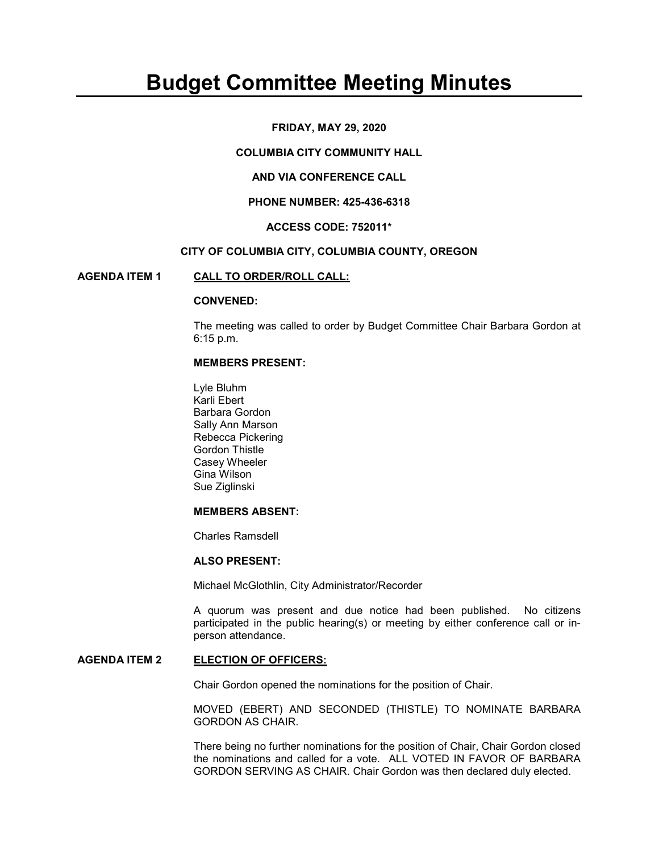# Budget Committee Meeting Minutes

## FRIDAY, MAY 29, 2020

## COLUMBIA CITY COMMUNITY HALL

# AND VIA CONFERENCE CALL

## PHONE NUMBER: 425-436-6318

## ACCESS CODE: 752011\*

## CITY OF COLUMBIA CITY, COLUMBIA COUNTY, OREGON

## AGENDA ITEM 1 CALL TO ORDER/ROLL CALL:

#### CONVENED:

The meeting was called to order by Budget Committee Chair Barbara Gordon at 6:15 p.m.

#### MEMBERS PRESENT:

 Lyle Bluhm Karli Ebert Barbara Gordon Sally Ann Marson Rebecca Pickering Gordon Thistle Casey Wheeler Gina Wilson Sue Ziglinski

#### MEMBERS ABSENT:

Charles Ramsdell

#### ALSO PRESENT:

Michael McGlothlin, City Administrator/Recorder

A quorum was present and due notice had been published. No citizens participated in the public hearing(s) or meeting by either conference call or inperson attendance.

## AGENDA ITEM 2 ELECTION OF OFFICERS:

Chair Gordon opened the nominations for the position of Chair.

MOVED (EBERT) AND SECONDED (THISTLE) TO NOMINATE BARBARA GORDON AS CHAIR.

There being no further nominations for the position of Chair, Chair Gordon closed the nominations and called for a vote. ALL VOTED IN FAVOR OF BARBARA GORDON SERVING AS CHAIR. Chair Gordon was then declared duly elected.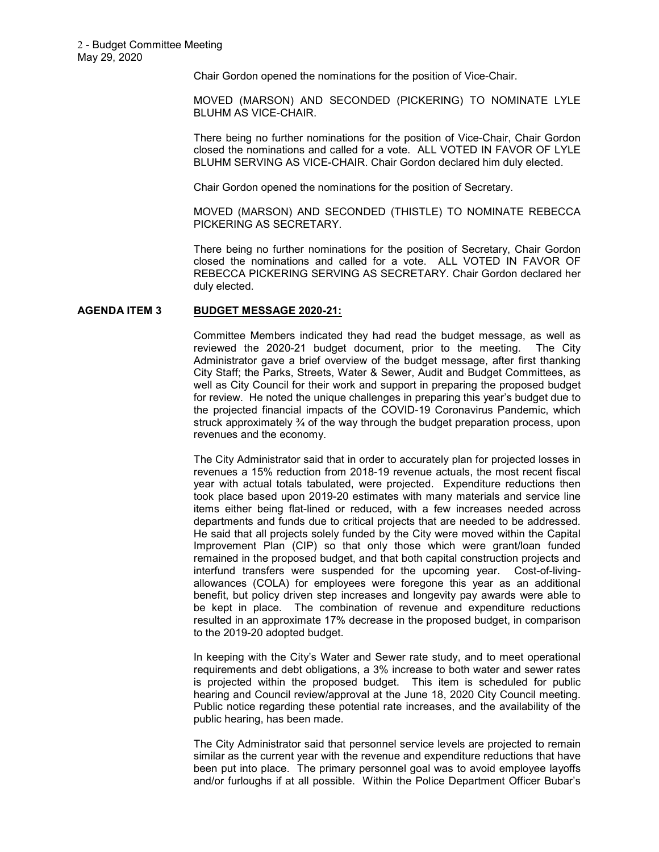Chair Gordon opened the nominations for the position of Vice-Chair.

MOVED (MARSON) AND SECONDED (PICKERING) TO NOMINATE LYLE BLUHM AS VICE-CHAIR.

There being no further nominations for the position of Vice-Chair, Chair Gordon closed the nominations and called for a vote. ALL VOTED IN FAVOR OF LYLE BLUHM SERVING AS VICE-CHAIR. Chair Gordon declared him duly elected.

Chair Gordon opened the nominations for the position of Secretary.

MOVED (MARSON) AND SECONDED (THISTLE) TO NOMINATE REBECCA PICKERING AS SECRETARY.

There being no further nominations for the position of Secretary, Chair Gordon closed the nominations and called for a vote. ALL VOTED IN FAVOR OF REBECCA PICKERING SERVING AS SECRETARY. Chair Gordon declared her duly elected.

## AGENDA ITEM 3 BUDGET MESSAGE 2020-21:

Committee Members indicated they had read the budget message, as well as reviewed the 2020-21 budget document, prior to the meeting. The City Administrator gave a brief overview of the budget message, after first thanking City Staff; the Parks, Streets, Water & Sewer, Audit and Budget Committees, as well as City Council for their work and support in preparing the proposed budget for review. He noted the unique challenges in preparing this year's budget due to the projected financial impacts of the COVID-19 Coronavirus Pandemic, which struck approximately ¾ of the way through the budget preparation process, upon revenues and the economy.

The City Administrator said that in order to accurately plan for projected losses in revenues a 15% reduction from 2018-19 revenue actuals, the most recent fiscal year with actual totals tabulated, were projected. Expenditure reductions then took place based upon 2019-20 estimates with many materials and service line items either being flat-lined or reduced, with a few increases needed across departments and funds due to critical projects that are needed to be addressed. He said that all projects solely funded by the City were moved within the Capital Improvement Plan (CIP) so that only those which were grant/loan funded remained in the proposed budget, and that both capital construction projects and interfund transfers were suspended for the upcoming year. Cost-of-livingallowances (COLA) for employees were foregone this year as an additional benefit, but policy driven step increases and longevity pay awards were able to be kept in place. The combination of revenue and expenditure reductions resulted in an approximate 17% decrease in the proposed budget, in comparison to the 2019-20 adopted budget.

In keeping with the City's Water and Sewer rate study, and to meet operational requirements and debt obligations, a 3% increase to both water and sewer rates is projected within the proposed budget. This item is scheduled for public hearing and Council review/approval at the June 18, 2020 City Council meeting. Public notice regarding these potential rate increases, and the availability of the public hearing, has been made.

The City Administrator said that personnel service levels are projected to remain similar as the current year with the revenue and expenditure reductions that have been put into place. The primary personnel goal was to avoid employee layoffs and/or furloughs if at all possible. Within the Police Department Officer Bubar's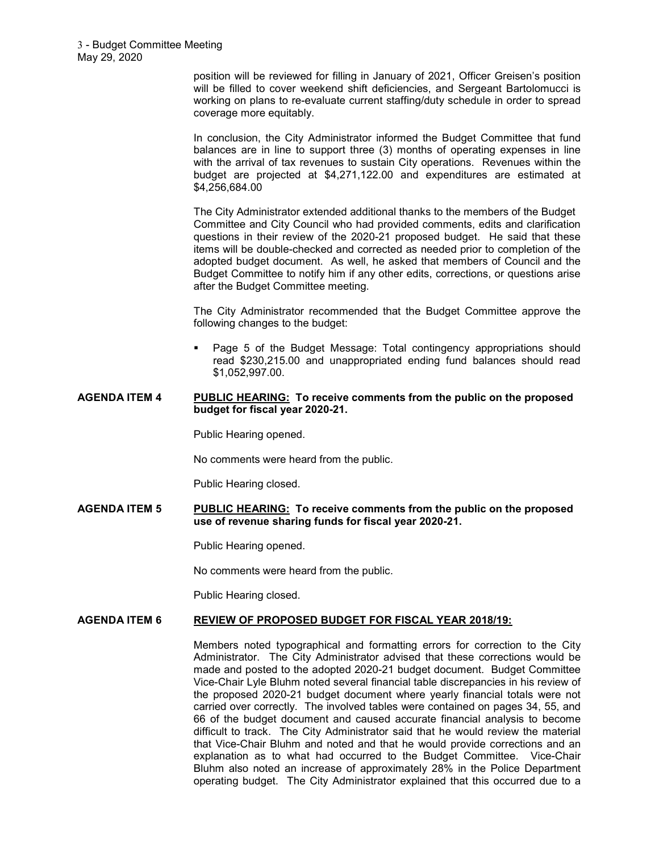position will be reviewed for filling in January of 2021, Officer Greisen's position will be filled to cover weekend shift deficiencies, and Sergeant Bartolomucci is working on plans to re-evaluate current staffing/duty schedule in order to spread coverage more equitably.

In conclusion, the City Administrator informed the Budget Committee that fund balances are in line to support three (3) months of operating expenses in line with the arrival of tax revenues to sustain City operations. Revenues within the budget are projected at \$4,271,122.00 and expenditures are estimated at \$4,256,684.00

The City Administrator extended additional thanks to the members of the Budget Committee and City Council who had provided comments, edits and clarification questions in their review of the 2020-21 proposed budget. He said that these items will be double-checked and corrected as needed prior to completion of the adopted budget document. As well, he asked that members of Council and the Budget Committee to notify him if any other edits, corrections, or questions arise after the Budget Committee meeting.

The City Administrator recommended that the Budget Committee approve the following changes to the budget:

 Page 5 of the Budget Message: Total contingency appropriations should read \$230,215.00 and unappropriated ending fund balances should read \$1,052,997.00.

## AGENDA ITEM 4 PUBLIC HEARING: To receive comments from the public on the proposed budget for fiscal year 2020-21.

Public Hearing opened.

No comments were heard from the public.

Public Hearing closed.

AGENDA ITEM 5 PUBLIC HEARING: To receive comments from the public on the proposed use of revenue sharing funds for fiscal year 2020-21.

Public Hearing opened.

No comments were heard from the public.

Public Hearing closed.

## AGENDA ITEM 6 REVIEW OF PROPOSED BUDGET FOR FISCAL YEAR 2018/19:

Members noted typographical and formatting errors for correction to the City Administrator. The City Administrator advised that these corrections would be made and posted to the adopted 2020-21 budget document. Budget Committee Vice-Chair Lyle Bluhm noted several financial table discrepancies in his review of the proposed 2020-21 budget document where yearly financial totals were not carried over correctly. The involved tables were contained on pages 34, 55, and 66 of the budget document and caused accurate financial analysis to become difficult to track. The City Administrator said that he would review the material that Vice-Chair Bluhm and noted and that he would provide corrections and an explanation as to what had occurred to the Budget Committee. Vice-Chair Bluhm also noted an increase of approximately 28% in the Police Department operating budget. The City Administrator explained that this occurred due to a